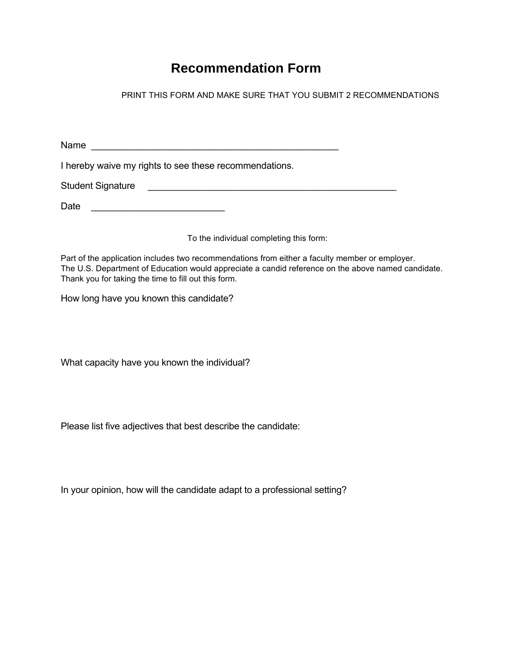## **Recommendation Form**

PRINT THIS FORM AND MAKE SURE THAT YOU SUBMIT 2 RECOMMENDATIONS

Name

I hereby waive my rights to see these recommendations.

Student Signature **Latitude 10 and 20 and 20 and 20 and 20 and 20 and 20 and 20 and 20 and 20 and 20 and 20 and 20 and 20 and 20 and 20 and 20 and 20 and 20 and 20 and 20 and 20 and 20 and 20 and 20 and 20 and 20 and 20 an** 

Date \_\_\_\_\_\_\_\_\_\_\_\_\_\_\_\_\_\_\_\_\_\_\_\_\_\_

To the individual completing this form:

Part of the application includes two recommendations from either a faculty member or employer. The U.S. Department of Education would appreciate a candid reference on the above named candidate. Thank you for taking the time to fill out this form.

How long have you known this candidate?

What capacity have you known the individual?

Please list five adjectives that best describe the candidate:

In your opinion, how will the candidate adapt to a professional setting?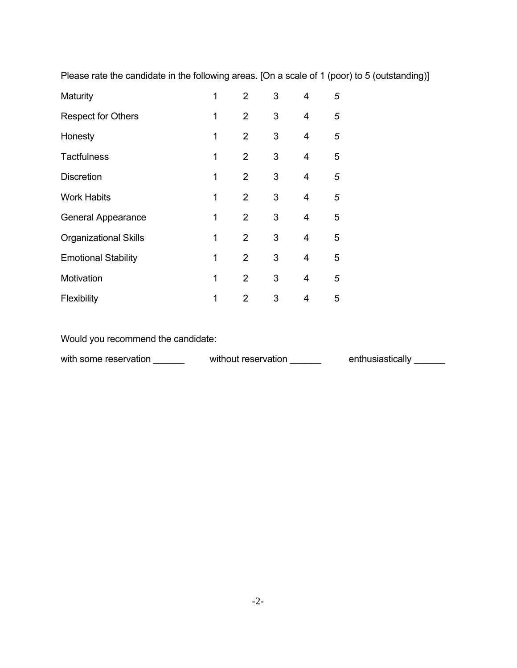Please rate the candidate in the following areas. [On a scale of 1 (poor) to 5 (outstanding)]

| Maturity                     | 1 | $\overline{2}$ | 3 | 4 | 5 |
|------------------------------|---|----------------|---|---|---|
| <b>Respect for Others</b>    | 1 | $\overline{2}$ | 3 | 4 | 5 |
| Honesty                      | 1 | $\overline{2}$ | 3 | 4 | 5 |
| <b>Tactfulness</b>           | 1 | $\overline{2}$ | 3 | 4 | 5 |
| <b>Discretion</b>            | 1 | $\overline{2}$ | 3 | 4 | 5 |
| <b>Work Habits</b>           | 1 | $\overline{2}$ | 3 | 4 | 5 |
| <b>General Appearance</b>    | 1 | $\overline{2}$ | 3 | 4 | 5 |
| <b>Organizational Skills</b> | 1 | $\overline{2}$ | 3 | 4 | 5 |
| <b>Emotional Stability</b>   | 1 | $\overline{2}$ | 3 | 4 | 5 |
| Motivation                   | 1 | $\overline{2}$ | 3 | 4 | 5 |
| Flexibility                  | 1 | $\mathcal{P}$  | 3 | 4 | 5 |

Would you recommend the candidate:

with some reservation \_\_\_\_\_\_\_ without reservation \_\_\_\_\_\_ enthusiastically \_\_\_\_\_\_